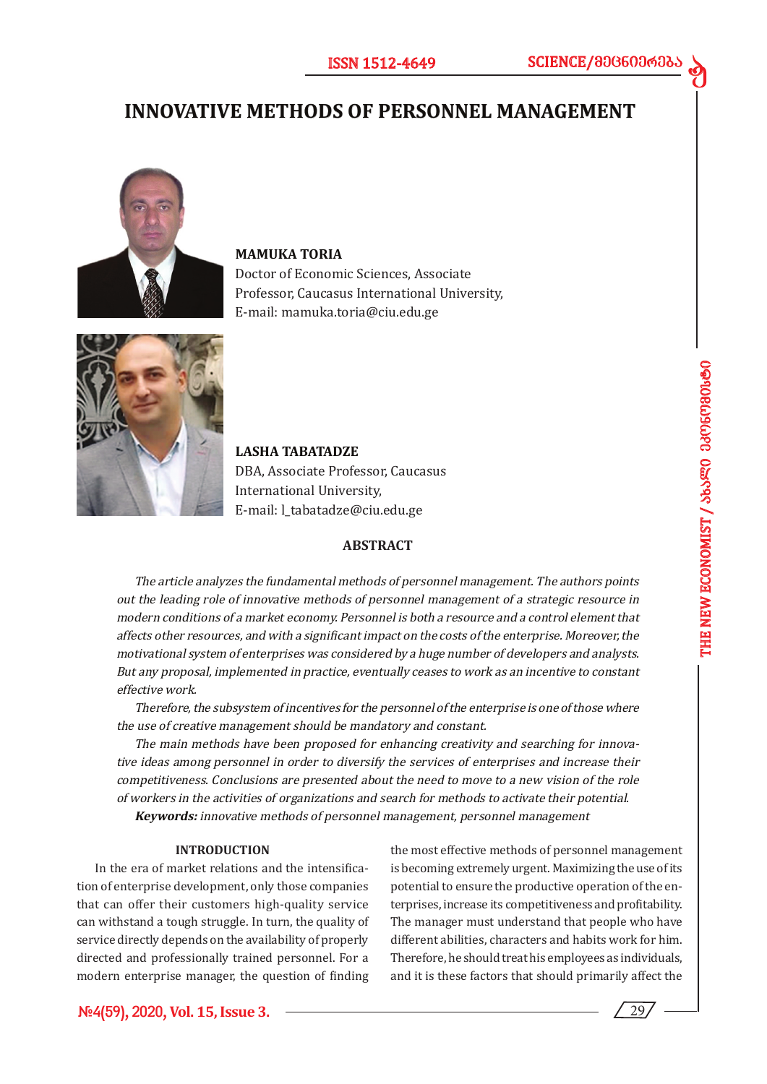d

# **INNOVATIVE METHODS OF PERSONNEL MANAGEMENT**



### **MAMUKA TORIA**

Doctor of Economic Sciences, Associate Professor, Caucasus International University, E-mail: mamuka.toria@ciu.edu.ge



**LASHA TABATADZE**  DBA, Associate Professor, Caucasus International University, E-mail: l\_tabatadze@ciu.edu.ge

### **ABSTRACT**

The article analyzes the fundamental methods of personnel management. The authors points out the leading role of innovative methods of personnel management of a strategic resource in modern conditions of a market economy. Personnel is both a resource and a control element that affects other resources, and with a significant impact on the costs of the enterprise. Moreover, the motivational system of enterprises was considered by a huge number of developers and analysts. But any proposal, implemented in practice, eventually ceases to work as an incentive to constant effective work.

Therefore, the subsystem of incentives for the personnel of the enterprise is one of those where the use of creative management should be mandatory and constant.

The main methods have been proposed for enhancing creativity and searching for innovative ideas among personnel in order to diversify the services of enterprises and increase their competitiveness. Conclusions are presented about the need to move to a new vision of the role of workers in the activities of organizations and search for methods to activate their potential. **Keywords:** innovative methods of personnel management, personnel management

#### **INTRODUCTION**

In the era of market relations and the intensification of enterprise development, only those companies that can offer their customers high-quality service can withstand a tough struggle. In turn, the quality of service directly depends on the availability of properly directed and professionally trained personnel. For a modern enterprise manager, the question of finding the most effective methods of personnel management is becoming extremely urgent. Maximizing the use of its potential to ensure the productive operation of the enterprises, increase its competitiveness and profitability. The manager must understand that people who have different abilities, characters and habits work for him. Therefore, he should treat his employees as individuals, and it is these factors that should primarily affect the

29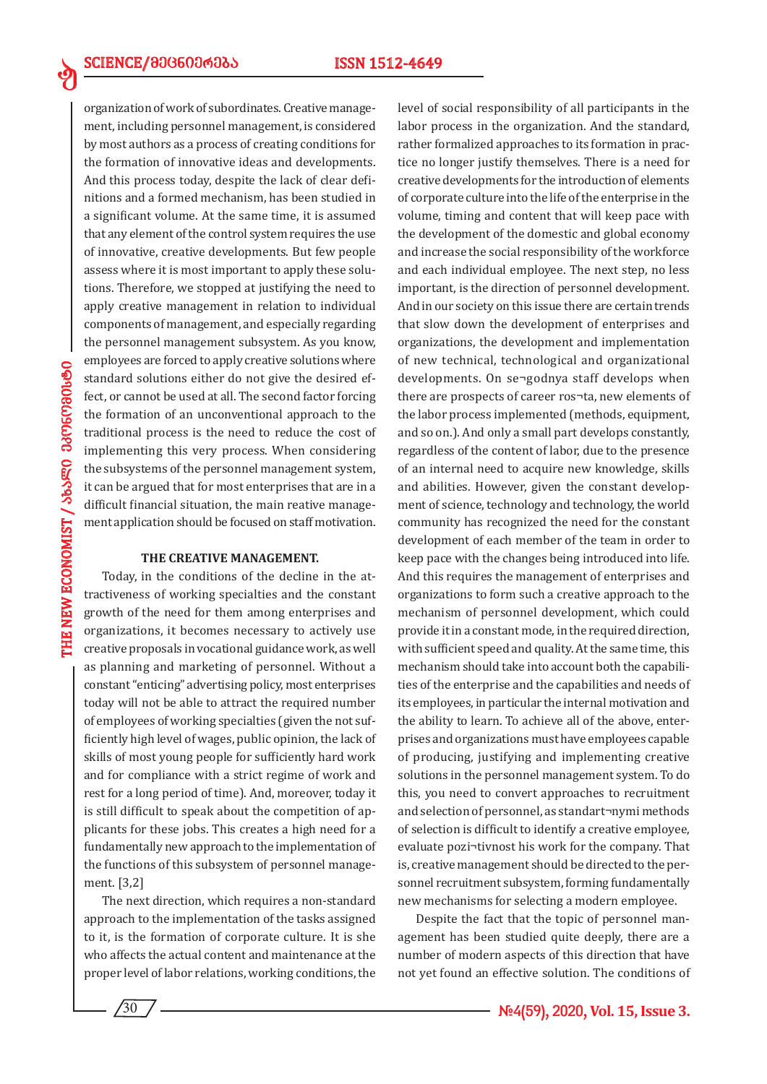organization of work of subordinates. Creative management, including personnel management, is considered by most authors as a process of creating conditions for the formation of innovative ideas and developments. And this process today, despite the lack of clear definitions and a formed mechanism, has been studied in a significant volume. At the same time, it is assumed that any element of the control system requires the use of innovative, creative developments. But few people assess where it is most important to apply these solutions. Therefore, we stopped at justifying the need to apply creative management in relation to individual components of management, and especially regarding the personnel management subsystem. As you know, employees are forced to apply creative solutions where standard solutions either do not give the desired effect, or cannot be used at all. The second factor forcing the formation of an unconventional approach to the traditional process is the need to reduce the cost of implementing this very process. When considering the subsystems of the personnel management system, it can be argued that for most enterprises that are in a difficult financial situation, the main reative management application should be focused on staff motivation.

#### **THE CREATIVE MANAGEMENT.**

Today, in the conditions of the decline in the attractiveness of working specialties and the constant growth of the need for them among enterprises and organizations, it becomes necessary to actively use creative proposals in vocational guidance work, as well as planning and marketing of personnel. Without a constant "enticing" advertising policy, most enterprises today will not be able to attract the required number of employees of working specialties (given the not sufficiently high level of wages, public opinion, the lack of skills of most young people for sufficiently hard work and for compliance with a strict regime of work and rest for a long period of time). And, moreover, today it is still difficult to speak about the competition of applicants for these jobs. This creates a high need for a fundamentally new approach to the implementation of the functions of this subsystem of personnel management. [3,2]

The next direction, which requires a non-standard approach to the implementation of the tasks assigned to it, is the formation of corporate culture. It is she who affects the actual content and maintenance at the proper level of labor relations, working conditions, the

level of social responsibility of all participants in the labor process in the organization. And the standard, rather formalized approaches to its formation in practice no longer justify themselves. There is a need for creative developments for the introduction of elements of corporate culture into the life of the enterprise in the volume, timing and content that will keep pace with the development of the domestic and global economy and increase the social responsibility of the workforce and each individual employee. The next step, no less important, is the direction of personnel development. And in our society on this issue there are certain trends that slow down the development of enterprises and organizations, the development and implementation of new technical, technological and organizational developments. On se¬godnya staff develops when there are prospects of career ros¬ta, new elements of the labor process implemented (methods, equipment, and so on.). And only a small part develops constantly, regardless of the content of labor, due to the presence of an internal need to acquire new knowledge, skills and abilities. However, given the constant development of science, technology and technology, the world community has recognized the need for the constant development of each member of the team in order to keep pace with the changes being introduced into life. And this requires the management of enterprises and organizations to form such a creative approach to the mechanism of personnel development, which could provide it in a constant mode, in the required direction, with sufficient speed and quality. At the same time, this mechanism should take into account both the capabilities of the enterprise and the capabilities and needs of its employees, in particular the internal motivation and the ability to learn. To achieve all of the above, enterprises and organizations must have employees capable of producing, justifying and implementing creative solutions in the personnel management system. To do this, you need to convert approaches to recruitment and selection of personnel, as standart¬nymi methods of selection is difficult to identify a creative employee, evaluate pozi¬tivnost his work for the company. That is, creative management should be directed to the personnel recruitment subsystem, forming fundamentally new mechanisms for selecting a modern employee.

Despite the fact that the topic of personnel management has been studied quite deeply, there are a number of modern aspects of this direction that have not yet found an effective solution. The conditions of

**THE NEW ECONOMIST / S6SERO 380060980690 THE NEW ECONOMIST / 363g0 336669901390** 

ed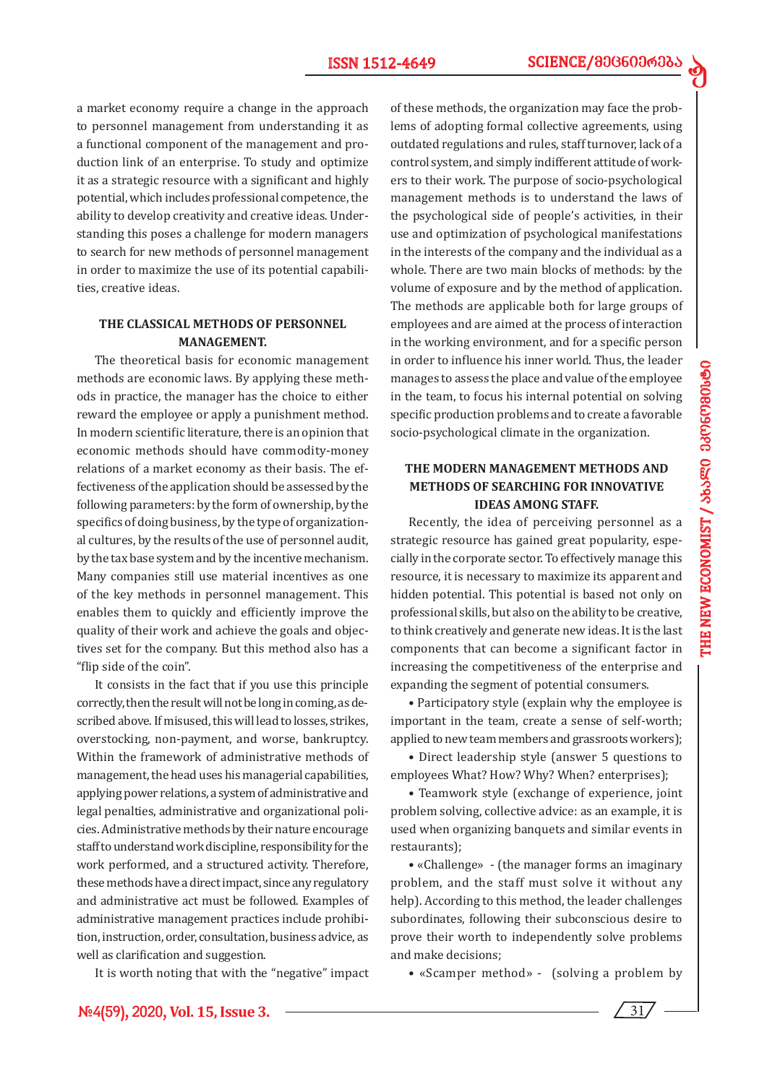d

a market economy require a change in the approach to personnel management from understanding it as a functional component of the management and production link of an enterprise. To study and optimize it as a strategic resource with a significant and highly potential, which includes professional competence, the ability to develop creativity and creative ideas. Understanding this poses a challenge for modern managers to search for new methods of personnel management in order to maximize the use of its potential capabilities, creative ideas.

### **THE CLASSICAL METHODS OF PERSONNEL MANAGEMENT.**

The theoretical basis for economic management methods are economic laws. By applying these methods in practice, the manager has the choice to either reward the employee or apply a punishment method. In modern scientific literature, there is an opinion that economic methods should have commodity-money relations of a market economy as their basis. The effectiveness of the application should be assessed by the following parameters: by the form of ownership, by the specifics of doing business, by the type of organizational cultures, by the results of the use of personnel audit, by the tax base system and by the incentive mechanism. Many companies still use material incentives as one of the key methods in personnel management. This enables them to quickly and efficiently improve the quality of their work and achieve the goals and objectives set for the company. But this method also has a "flip side of the coin".

It consists in the fact that if you use this principle correctly, then the result will not be long in coming, as described above. If misused, this will lead to losses, strikes, overstocking, non-payment, and worse, bankruptcy. Within the framework of administrative methods of management, the head uses his managerial capabilities, applying power relations, a system of administrative and legal penalties, administrative and organizational policies. Administrative methods by their nature encourage staff to understand work discipline, responsibility for the work performed, and a structured activity. Therefore, these methods have a direct impact, since any regulatory and administrative act must be followed. Examples of administrative management practices include prohibition, instruction, order, consultation, business advice, as well as clarification and suggestion.

It is worth noting that with the "negative" impact

of these methods, the organization may face the problems of adopting formal collective agreements, using outdated regulations and rules, staff turnover, lack of a control system, and simply indifferent attitude of workers to their work. The purpose of socio-psychological management methods is to understand the laws of the psychological side of people's activities, in their use and optimization of psychological manifestations in the interests of the company and the individual as a whole. There are two main blocks of methods: by the volume of exposure and by the method of application. The methods are applicable both for large groups of employees and are aimed at the process of interaction in the working environment, and for a specific person in order to influence his inner world. Thus, the leader manages to assess the place and value of the employee in the team, to focus his internal potential on solving specific production problems and to create a favorable socio-psychological climate in the organization.

### **THE MODERN MANAGEMENT METHODS AND METHODS OF SEARCHING FOR INNOVATIVE IDEAS AMONG STAFF.**

Recently, the idea of perceiving personnel as a strategic resource has gained great popularity, especially in the corporate sector. To effectively manage this resource, it is necessary to maximize its apparent and hidden potential. This potential is based not only on professional skills, but also on the ability to be creative, to think creatively and generate new ideas. It is the last components that can become a significant factor in increasing the competitiveness of the enterprise and expanding the segment of potential consumers.

• Participatory style (explain why the employee is important in the team, create a sense of self-worth; applied to new team members and grassroots workers);

• Direct leadership style (answer 5 questions to employees What? How? Why? When? enterprises);

• Teamwork style (exchange of experience, joint problem solving, collective advice: as an example, it is used when organizing banquets and similar events in restaurants);

• «Challenge» - (the manager forms an imaginary problem, and the staff must solve it without any help). According to this method, the leader challenges subordinates, following their subconscious desire to prove their worth to independently solve problems and make decisions;

• «Scamper method» - (solving a problem by

31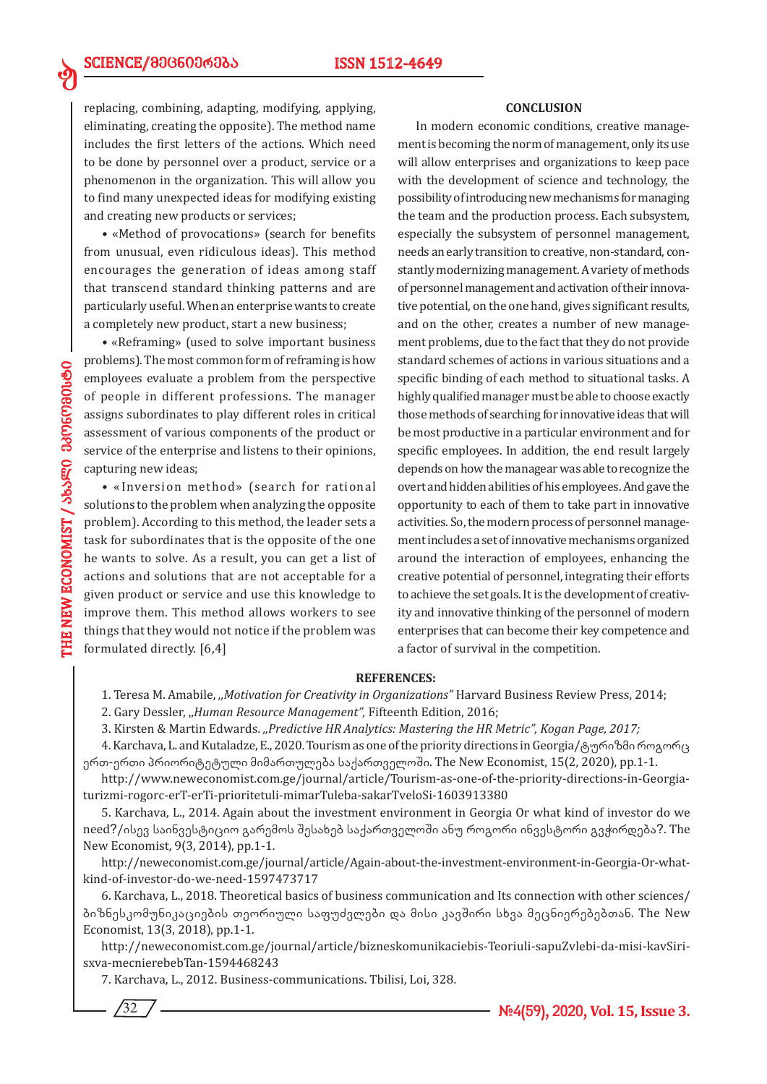replacing, combining, adapting, modifying, applying, eliminating, creating the opposite). The method name includes the first letters of the actions. Which need to be done by personnel over a product, service or a phenomenon in the organization. This will allow you to find many unexpected ideas for modifying existing and creating new products or services;

• «Method of provocations» (search for benefits from unusual, even ridiculous ideas). This method encourages the generation of ideas among staff that transcend standard thinking patterns and are particularly useful. When an enterprise wants to create a completely new product, start a new business;

• «Reframing» (used to solve important business problems). The most common form of reframing is how employees evaluate a problem from the perspective of people in different professions. The manager assigns subordinates to play different roles in critical assessment of various components of the product or service of the enterprise and listens to their opinions, capturing new ideas;

• «Inversion method» (search for rational solutions to the problem when analyzing the opposite problem). According to this method, the leader sets a task for subordinates that is the opposite of the one he wants to solve. As a result, you can get a list of actions and solutions that are not acceptable for a given product or service and use this knowledge to improve them. This method allows workers to see things that they would not notice if the problem was formulated directly. [6,4]

#### **CONCLUSION**

In modern economic conditions, creative management is becoming the norm of management, only its use will allow enterprises and organizations to keep pace with the development of science and technology, the possibility of introducing new mechanisms for managing the team and the production process. Each subsystem, especially the subsystem of personnel management, needs an early transition to creative, non-standard, constantly modernizing management. A variety of methods of personnel management and activation of their innovative potential, on the one hand, gives significant results, and on the other, creates a number of new management problems, due to the fact that they do not provide standard schemes of actions in various situations and a specific binding of each method to situational tasks. A highly qualified manager must be able to choose exactly those methods of searching for innovative ideas that will be most productive in a particular environment and for specific employees. In addition, the end result largely depends on how the managear was able to recognize the overt and hidden abilities of his employees. And gave the opportunity to each of them to take part in innovative activities. So, the modern process of personnel management includes a set of innovative mechanisms organized around the interaction of employees, enhancing the creative potential of personnel, integrating their efforts to achieve the set goals. It is the development of creativity and innovative thinking of the personnel of modern enterprises that can become their key competence and a factor of survival in the competition.

#### **REFERENCES:**

1. Teresa M. Amabile, *,,Motivation for Creativity in Organizations"* Harvard Business Review Press, 2014;

2. Gary Dessler, ,,*Human Resource Management",* Fifteenth Edition, 2016;

3. Kirsten & Martin Edwards. *,,Predictive HR Analytics: Mastering the HR Metric", Kogan Page, 2017;*

4. Karchava, L. and Kutaladze, E., 2020. Tourism as one of the priority directions in Georgia/ტურიზმი როგორც ერთ-ერთი პრიორიტეტული მიმართულება საქართველოში. The New Economist, 15(2, 2020), pp.1-1.

http://www.neweconomist.com.ge/journal/article/Tourism-as-one-of-the-priority-directions-in-Georgiaturizmi-rogorc-erT-erTi-prioritetuli-mimarTuleba-sakarTveloSi-1603913380

5. Karchava, L., 2014. Again about the investment environment in Georgia Or what kind of investor do we need?/ისევ საინვესტიციო გარემოს შესახებ საქართველოში ანუ როგორი ინვესტორი გვჭირდება?. The New Economist, 9(3, 2014), pp.1-1.

http://neweconomist.com.ge/journal/article/Again-about-the-investment-environment-in-Georgia-Or-whatkind-of-investor-do-we-need-1597473717

6. Karchava, L., 2018. Theoretical basics of business communication and Its connection with other sciences/ ბიზნესკომუნიკაციების თეორიული საფუძვლები და მისი კავშირი სხვა მეცნიერებებთან. The New Economist, 13(3, 2018), pp.1-1.

http://neweconomist.com.ge/journal/article/bizneskomunikaciebis-Teoriuli-sapuZvlebi-da-misi-kavSirisxva-mecnierebebTan-1594468243

7. Karchava, L., 2012. Business-communications. Tbilisi, Loi, 328.

ed